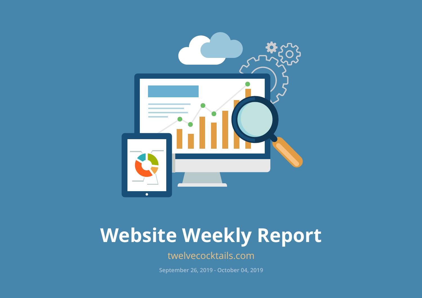

# **Website Weekly Report**

## twelvecocktails.com

**September 26, 2019 - October 04, 2019**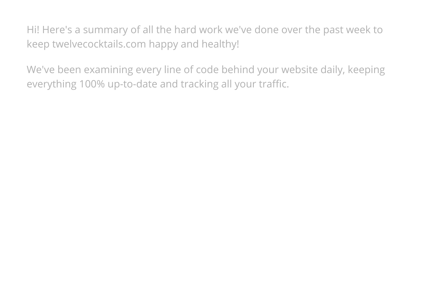Hi! Here's a summary of all the hard work we've done over the past week to keep twelvecocktails.com happy and healthy!

We've been examining every line of code behind your website daily, keeping everything 100% up-to-date and tracking all your traffic.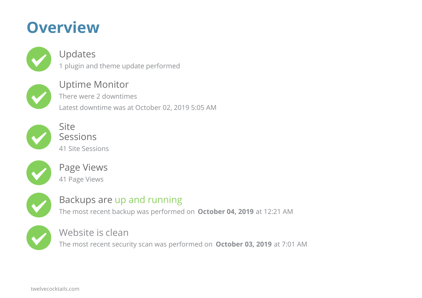## **Overview**



## Updates

1 plugin and theme update performed



## Uptime Monitor There were 2 downtimes

Latest downtime was at October 02, 2019 5:05 AM



**Site Sessions** 41 Site Sessions



Page Views 41 Page Views



## Backups are up and running

The most recent backup was performed on **October 04, 2019** at 12:21 AM



### Website is clean

The most recent security scan was performed on **October 03, 2019** at 7:01 AM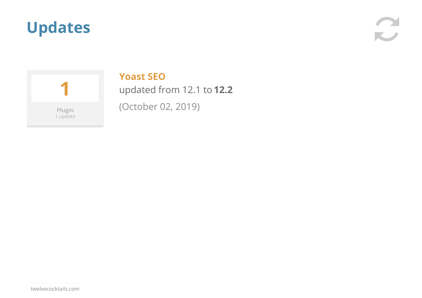# **Updates**



#### **Yoast SEO**

updated from 12.1 to **12.2** (October 02, 2019)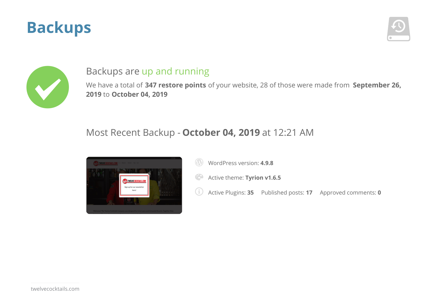# **Backups**





#### Backups are up and running

We have a total of **347 restore points** of your website, 28 of those were made from **September 26, 2019** to **October 04, 2019**

#### Most Recent Backup - **October 04, 2019** at 12:21 AM



WordPress version: **4.9.8** 

Active theme: **Tyrion v1.6.5**

Active Plugins: **<sup>35</sup>** Published posts: **<sup>17</sup>** Approved comments: **<sup>0</sup>**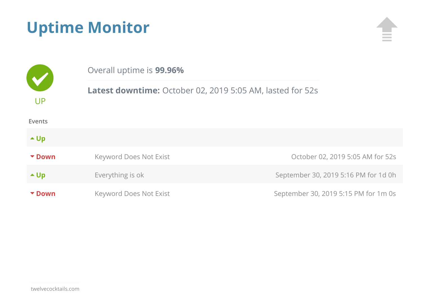# **Uptime Monitor**



|                | Overall uptime is <b>99.96%</b><br><b>Latest downtime:</b> October 02, 2019 5:05 AM, lasted for 52s |                                      |  |
|----------------|-----------------------------------------------------------------------------------------------------|--------------------------------------|--|
| UP             |                                                                                                     |                                      |  |
| <b>Events</b>  |                                                                                                     |                                      |  |
| $\triangle$ Up |                                                                                                     |                                      |  |
| <b>v</b> Down  | <b>Keyword Does Not Exist</b>                                                                       | October 02, 2019 5:05 AM for 52s     |  |
| $\triangle$ Up | Everything is ok                                                                                    | September 30, 2019 5:16 PM for 1d 0h |  |
| ▼ Down         | <b>Keyword Does Not Exist</b>                                                                       | September 30, 2019 5:15 PM for 1m 0s |  |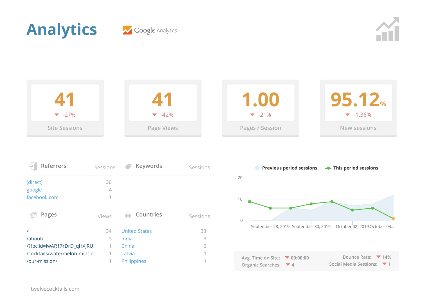





| Referrers    |       | Sessions <> <b>Example Xeywords</b> | Sessions |
|--------------|-------|-------------------------------------|----------|
| (direct)     | 36    |                                     |          |
| google       |       |                                     |          |
| facebook.com |       |                                     |          |
| 1E<br>Pages  | views | Countries<br>₩                      | Sessions |

| 34 |
|----|
| R  |
|    |
|    |
|    |
|    |

| Countries            | Sessions      |
|----------------------|---------------|
| <b>United States</b> | 33            |
| India                | 3             |
| China                | $\mathcal{P}$ |
| Latvia               |               |
| Philippines          |               |



twelvecocktails.com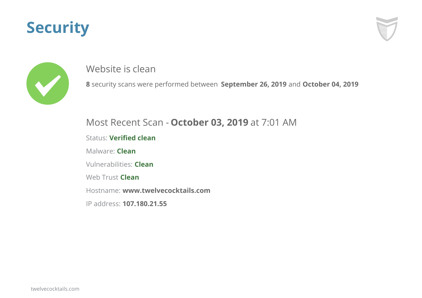# **Security**





#### Website is clean

**8** security scans were performed between **September 26, 2019** and **October 04, 2019**

#### Most Recent Scan - **October 03, 2019** at 7:01 AM

Status: **Verified clean**

Malware: **Clean**

Vulnerabilities: **Clean**

Web Trust **Clean**

Hostname: **www.twelvecocktails.com**

IP address: **107.180.21.55**